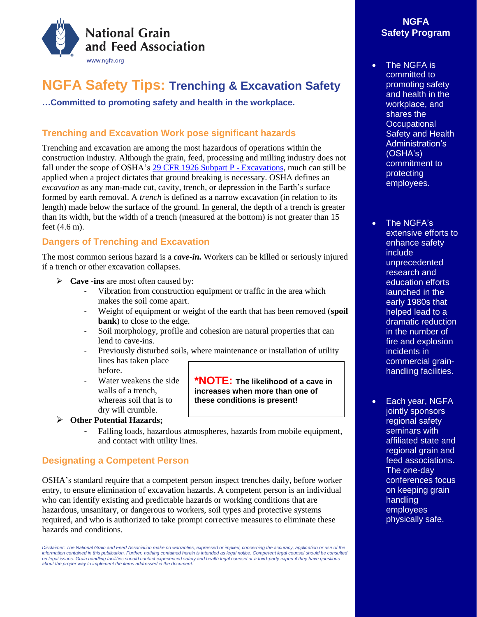

# **NGFA Safety Tips: Trenching & Excavation Safety**

**…Committed to promoting safety and health in the workplace.**

# **Trenching and Excavation Work pose significant hazards**

Trenching and excavation are among the most hazardous of operations within the construction industry. Although the grain, feed, processing and milling industry does not fall under the scope of OSHA'[s 29 CFR 1926 Subpart P -](https://www.osha.gov/SLTC/trenchingexcavation/index.html) Excavations, much can still be applied when a project dictates that ground breaking is necessary. OSHA defines an *excavation* as any man-made cut, cavity, trench, or depression in the Earth's surface formed by earth removal. A *trench* is defined as a narrow excavation (in relation to its length) made below the surface of the ground. In general, the depth of a trench is greater than its width, but the width of a trench (measured at the bottom) is not greater than 15 feet (4.6 m).

## **Dangers of Trenching and Excavation**

The most common serious hazard is a *cave-in.* Workers can be killed or seriously injured if a trench or other excavation collapses.

- ➢ **Cave -ins** are most often caused by:
	- Vibration from construction equipment or traffic in the area which makes the soil come apart.
	- Weight of equipment or weight of the earth that has been removed (**spoil bank**) to close to the edge.
	- Soil morphology, profile and cohesion are natural properties that can lend to cave-ins.
	- Previously disturbed soils, where maintenance or installation of utility lines has taken place
	- before. Water weakens the side walls of a trench, whereas soil that is to dry will crumble.

➢ **Other Potential Hazards;**

- Falling loads, hazardous atmospheres, hazards from mobile equipment, and contact with utility lines.

### **Designating a Competent Person**

OSHA's standard require that a competent person inspect trenches daily, before worker entry, to ensure elimination of excavation hazards. A competent person is an individual who can identify existing and predictable hazards or working conditions that are hazardous, unsanitary, or dangerous to workers, soil types and protective systems required, and who is authorized to take prompt corrective measures to eliminate these hazards and conditions.

*Disclaimer: The National Grain and Feed Association make no warranties, expressed or implied, concerning the accuracy, application or use of the*  information contained in this publication. Further, nothing contained herein is intended as legal notice. Competent legal counsel should be consulted *on legal issues. Grain handling facilities should contact experienced safety and health legal counsel or a third-party expert if they have questions about the proper way to implement the items addressed in the document.* 

### **NGFA Safety Program**

• The NGFA is committed to promoting safety and health in the workplace, and shares the **Occupational** Safety and Health Administration's (OSHA's) commitment to protecting employees.

• The NGFA's extensive efforts to enhance safety include unprecedented research and education efforts launched in the early 1980s that helped lead to a dramatic reduction in the number of fire and explosion incidents in commercial grainhandling facilities.

• Each year, NGFA jointly sponsors regional safety seminars with affiliated state and regional grain and feed associations. The one-day conferences focus on keeping grain handling employees physically safe.

**\*NOTE: The likelihood of a cave in increases when more than one of these conditions is present!**